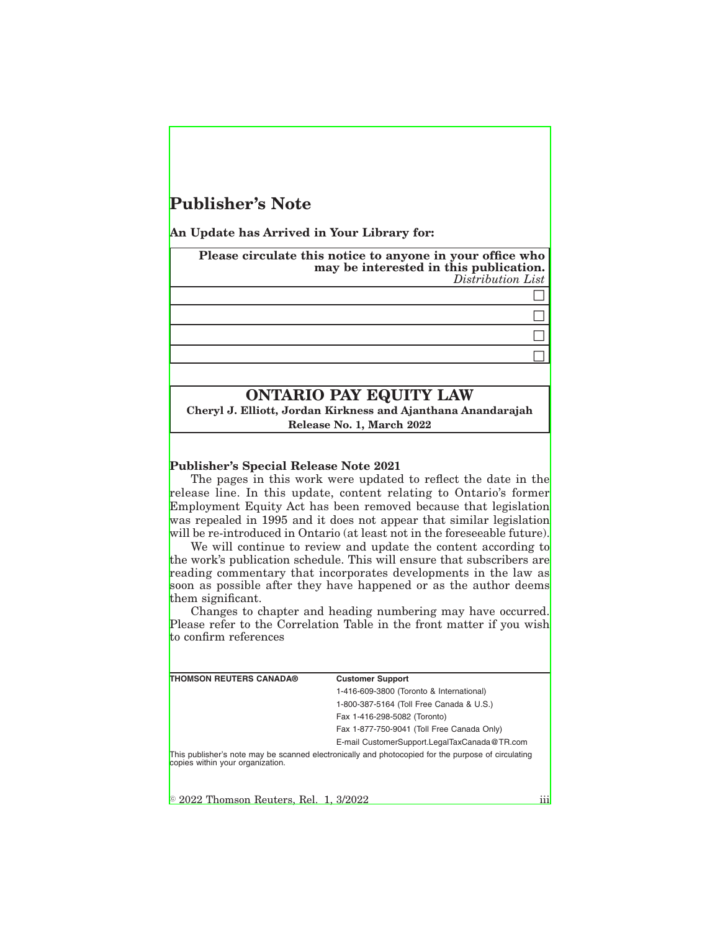# **Publisher's Note**

**An Update has Arrived in Your Library for:**

**Please circulate this notice to anyone in your office who may be interested in this publication.** *Distribution List*

> $\Box$  $\Box$  $\Box$  $\Box$

### **ONTARIO PAY EQUITY LAW**

**Cheryl J. Elliott, Jordan Kirkness and Ajanthana Anandarajah Release No. 1, March 2022**

#### **Publisher's Special Release Note 2021**

The pages in this work were updated to reflect the date in the release line. In this update, content relating to Ontario's former Employment Equity Act has been removed because that legislation was repealed in 1995 and it does not appear that similar legislation will be re-introduced in Ontario (at least not in the foreseeable future).

We will continue to review and update the content according to the work's publication schedule. This will ensure that subscribers are reading commentary that incorporates developments in the law as soon as possible after they have happened or as the author deems them significant.

Changes to chapter and heading numbering may have occurred. Please refer to the Correlation Table in the front matter if you wish to confirm references

| <b>THOMSON REUTERS CANADA®</b>                 | <b>Customer Support</b>                                                                            |     |
|------------------------------------------------|----------------------------------------------------------------------------------------------------|-----|
|                                                | 1-416-609-3800 (Toronto & International)                                                           |     |
|                                                | 1-800-387-5164 (Toll Free Canada & U.S.)                                                           |     |
|                                                | Fax 1-416-298-5082 (Toronto)                                                                       |     |
|                                                | Fax 1-877-750-9041 (Toll Free Canada Only)                                                         |     |
|                                                | E-mail CustomerSupport.LegalTaxCanada@TR.com                                                       |     |
| copies within your organization.               | This publisher's note may be scanned electronically and photocopied for the purpose of circulating |     |
|                                                |                                                                                                    |     |
| $\degree$ 2022 Thomson Reuters, Rel. 1, 3/2022 |                                                                                                    | iii |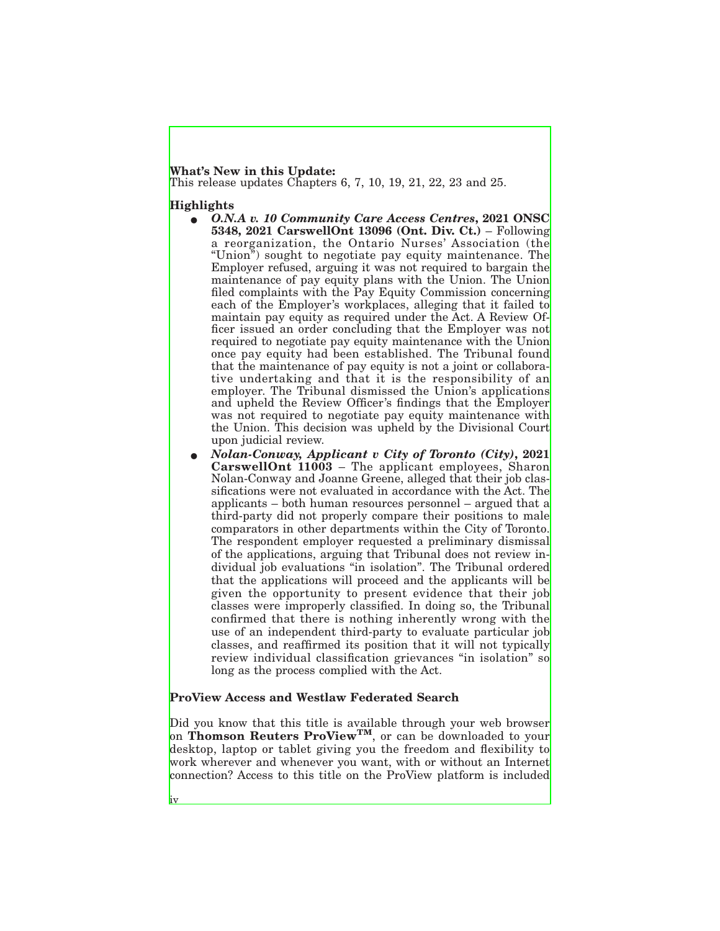## **What's New in this Update:**

This release updates Chapters 6, 7, 10, 19, 21, 22, 23 and 25.

### **Highlights**

- E *O.N.A v. 10 Community Care Access Centres***, 2021 ONSC 5348, 2021 CarswellOnt 13096 (Ont. Div. Ct.)** – Following a reorganization, the Ontario Nurses' Association (the "Union") sought to negotiate pay equity maintenance. The Employer refused, arguing it was not required to bargain the maintenance of pay equity plans with the Union. The Union filed complaints with the Pay Equity Commission concerning each of the Employer's workplaces, alleging that it failed to maintain pay equity as required under the Act. A Review Officer issued an order concluding that the Employer was not required to negotiate pay equity maintenance with the Union once pay equity had been established. The Tribunal found that the maintenance of pay equity is not a joint or collaborative undertaking and that it is the responsibility of an employer. The Tribunal dismissed the Union's applications and upheld the Review Officer's findings that the Employer was not required to negotiate pay equity maintenance with the Union. This decision was upheld by the Divisional Court upon judicial review.
- E *Nolan-Conway, Applicant v City of Toronto (City)***, 2021 CarswellOnt 11003** – The applicant employees, Sharon Nolan-Conway and Joanne Greene, alleged that their job classifications were not evaluated in accordance with the Act. The applicants – both human resources personnel – argued that a third-party did not properly compare their positions to male comparators in other departments within the City of Toronto. The respondent employer requested a preliminary dismissal of the applications, arguing that Tribunal does not review individual job evaluations "in isolation". The Tribunal ordered that the applications will proceed and the applicants will be given the opportunity to present evidence that their job classes were improperly classified. In doing so, the Tribunal confirmed that there is nothing inherently wrong with the use of an independent third-party to evaluate particular job classes, and reaffirmed its position that it will not typically review individual classification grievances "in isolation" so long as the process complied with the Act.

### **ProView Access and Westlaw Federated Search**

Did you know that this title is available through your web browser on **Thomson Reuters ProViewTM**, or can be downloaded to your desktop, laptop or tablet giving you the freedom and flexibility to work wherever and whenever you want, with or without an Internet connection? Access to this title on the ProView platform is included